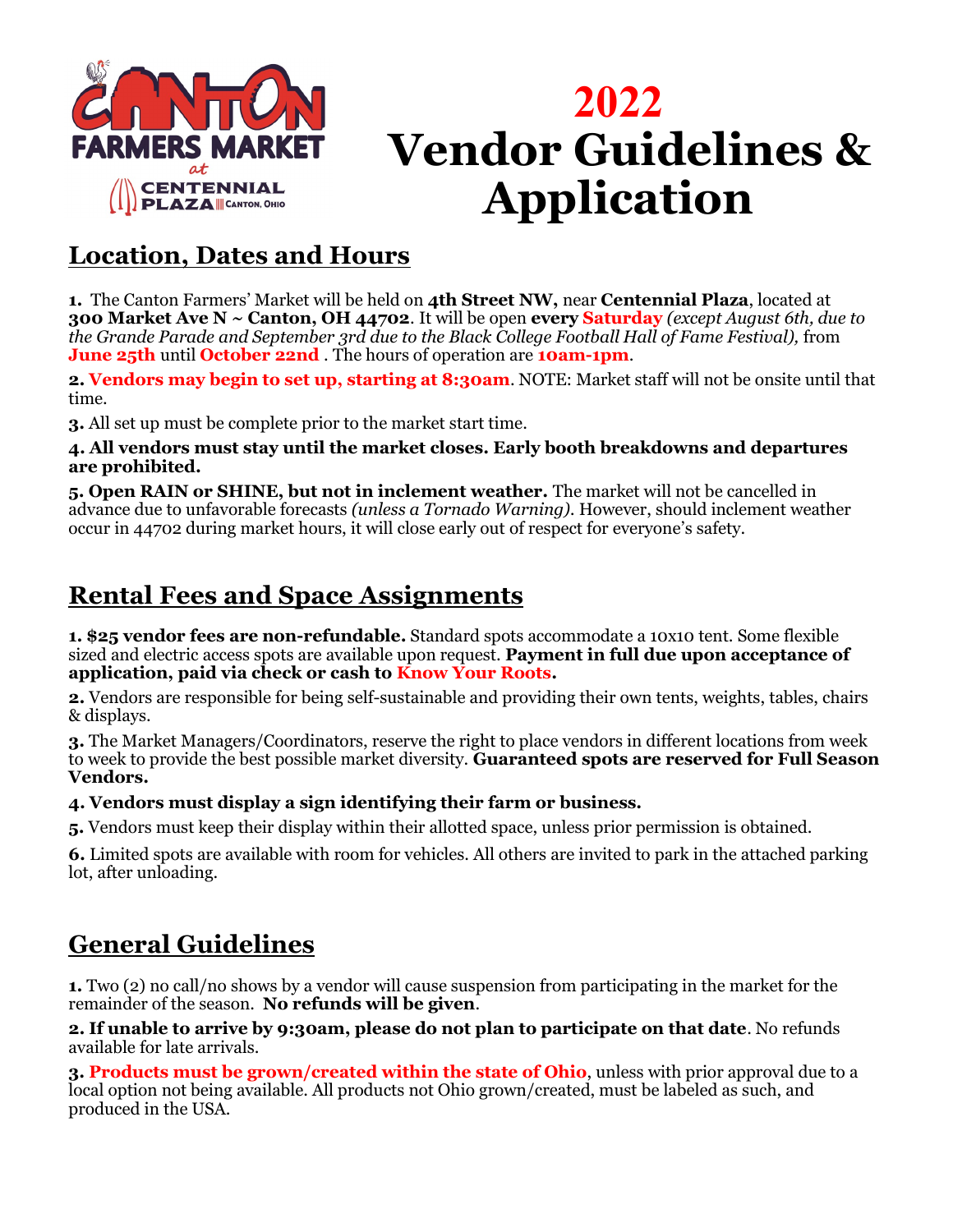

# **2022 Vendor Guidelines & Application**

## **Location, Dates and Hours**

**1.** The Canton Farmers' Market will be held on **4th Street NW,** near **Centennial Plaza**, located at **300 Market Ave N ~ Canton, OH 44702**. It will be open **every Saturday** *(except August 6th, due to the Grande Parade and September 3rd due to the Black College Football Hall of Fame Festival),* from **June 25th** until **October 22nd** . The hours of operation are **10am-1pm**.

**2. Vendors may begin to set up, starting at 8:30am**. NOTE: Market staff will not be onsite until that time.

**3.** All set up must be complete prior to the market start time.

#### **4. All vendors must stay until the market closes. Early booth breakdowns and departures are prohibited.**

**5. Open RAIN or SHINE, but not in inclement weather.** The market will not be cancelled in advance due to unfavorable forecasts *(unless a Tornado Warning).* However, should inclement weather occur in 44702 during market hours, it will close early out of respect for everyone's safety.

# **Rental Fees and Space Assignments**

**1. \$25 vendor fees are non-refundable.** Standard spots accommodate a 10x10 tent. Some flexible sized and electric access spots are available upon request. **Payment in full due upon acceptance of application, paid via check or cash to Know Your Roots.** 

**2.** Vendors are responsible for being self-sustainable and providing their own tents, weights, tables, chairs & displays.

**3.** The Market Managers/Coordinators, reserve the right to place vendors in different locations from week to week to provide the best possible market diversity. **Guaranteed spots are reserved for Full Season Vendors.**

#### **4. Vendors must display a sign identifying their farm or business.**

**5.** Vendors must keep their display within their allotted space, unless prior permission is obtained.

**6.** Limited spots are available with room for vehicles. All others are invited to park in the attached parking lot, after unloading.

# **General Guidelines**

**1.** Two (2) no call/no shows by a vendor will cause suspension from participating in the market for the remainder of the season. **No refunds will be given**.

**2. If unable to arrive by 9:30am, please do not plan to participate on that date**. No refunds available for late arrivals.

**3. Products must be grown/created within the state of Ohio**, unless with prior approval due to a local option not being available. All products not Ohio grown/created, must be labeled as such, and produced in the USA.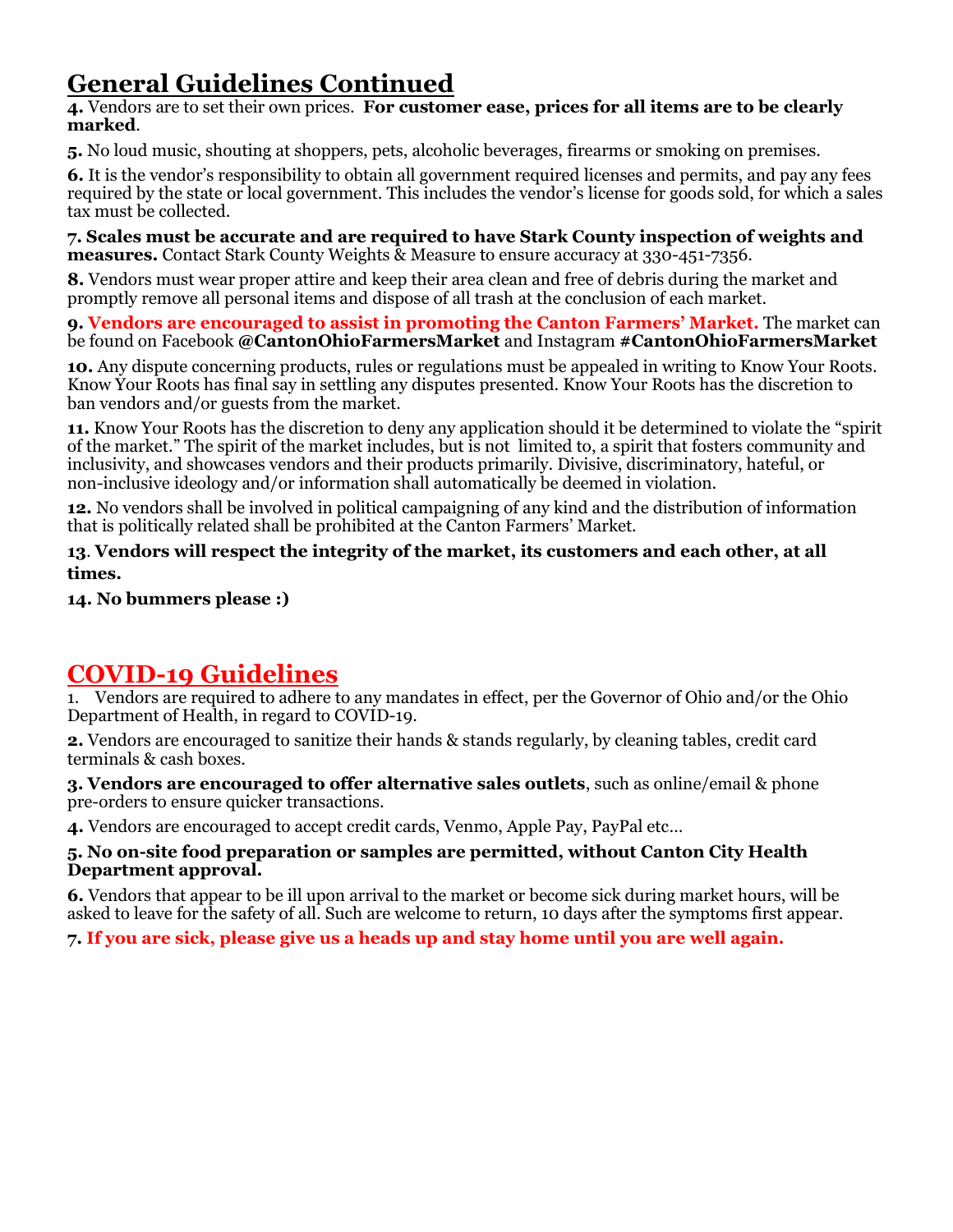# **General Guidelines Continued**

**4.** Vendors are to set their own prices. **For customer ease, prices for all items are to be clearly marked**.

**5.** No loud music, shouting at shoppers, pets, alcoholic beverages, firearms or smoking on premises.

**6.** It is the vendor's responsibility to obtain all government required licenses and permits, and pay any fees required by the state or local government. This includes the vendor's license for goods sold, for which a sales tax must be collected.

**7. Scales must be accurate and are required to have Stark County inspection of weights and measures.** Contact Stark County Weights & Measure to ensure accuracy at 330-451-7356.

**8.** Vendors must wear proper attire and keep their area clean and free of debris during the market and promptly remove all personal items and dispose of all trash at the conclusion of each market.

**9. Vendors are encouraged to assist in promoting the Canton Farmers' Market.** The market can be found on Facebook **@CantonOhioFarmersMarket** and Instagram **#CantonOhioFarmersMarket**

**10.** Any dispute concerning products, rules or regulations must be appealed in writing to Know Your Roots. Know Your Roots has final say in settling any disputes presented. Know Your Roots has the discretion to ban vendors and/or guests from the market.

**11.** Know Your Roots has the discretion to deny any application should it be determined to violate the "spirit of the market." The spirit of the market includes, but is not limited to, a spirit that fosters community and inclusivity, and showcases vendors and their products primarily. Divisive, discriminatory, hateful, or non-inclusive ideology and/or information shall automatically be deemed in violation.

**12.** No vendors shall be involved in political campaigning of any kind and the distribution of information that is politically related shall be prohibited at the Canton Farmers' Market.

**13**. **Vendors will respect the integrity of the market, its customers and each other, at all times.** 

**14. No bummers please :)** 

### **COVID-19 Guidelines**

1. Vendors are required to adhere to any mandates in effect, per the Governor of Ohio and/or the Ohio Department of Health, in regard to COVID-19.

**2.** Vendors are encouraged to sanitize their hands & stands regularly, by cleaning tables, credit card terminals & cash boxes.

**3. Vendors are encouraged to offer alternative sales outlets**, such as online/email & phone pre-orders to ensure quicker transactions.

**4.** Vendors are encouraged to accept credit cards, Venmo, Apple Pay, PayPal etc…

#### **5. No on-site food preparation or samples are permitted, without Canton City Health Department approval.**

**6.** Vendors that appear to be ill upon arrival to the market or become sick during market hours, will be asked to leave for the safety of all. Such are welcome to return, 10 days after the symptoms first appear.

**7. If you are sick, please give us a heads up and stay home until you are well again.**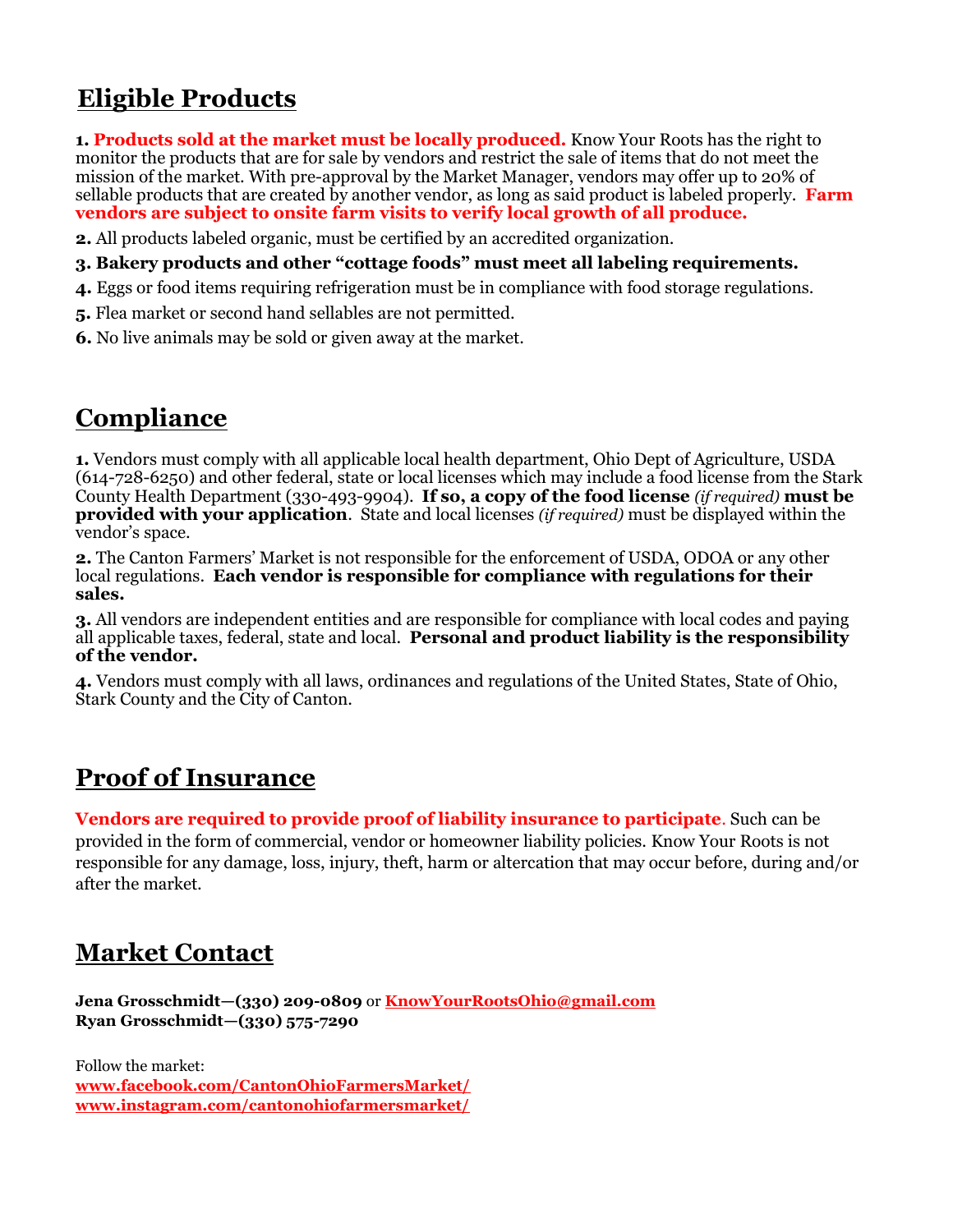# **Eligible Products**

**1. Products sold at the market must be locally produced.** Know Your Roots has the right to monitor the products that are for sale by vendors and restrict the sale of items that do not meet the mission of the market. With pre-approval by the Market Manager, vendors may offer up to 20% of sellable products that are created by another vendor, as long as said product is labeled properly. **Farm vendors are subject to onsite farm visits to verify local growth of all produce.**

**2.** All products labeled organic, must be certified by an accredited organization.

**3. Bakery products and other "cottage foods" must meet all labeling requirements.** 

**4.** Eggs or food items requiring refrigeration must be in compliance with food storage regulations.

**5.** Flea market or second hand sellables are not permitted.

**6.** No live animals may be sold or given away at the market.

### **Compliance**

**1.** Vendors must comply with all applicable local health department, Ohio Dept of Agriculture, USDA (614-728-6250) and other federal, state or local licenses which may include a food license from the Stark County Health Department (330-493-9904). **If so, a copy of the food license** *(if required)* **must be provided with your application**. State and local licenses *(if required)* must be displayed within the vendor's space.

**2.** The Canton Farmers' Market is not responsible for the enforcement of USDA, ODOA or any other local regulations. **Each vendor is responsible for compliance with regulations for their sales.**

**3.** All vendors are independent entities and are responsible for compliance with local codes and paying all applicable taxes, federal, state and local. **Personal and product liability is the responsibility of the vendor.** 

**4.** Vendors must comply with all laws, ordinances and regulations of the United States, State of Ohio, Stark County and the City of Canton.

### **Proof of Insurance**

**Vendors are required to provide proof of liability insurance to participate**. Such can be provided in the form of commercial, vendor or homeowner liability policies. Know Your Roots is not responsible for any damage, loss, injury, theft, harm or altercation that may occur before, during and/or after the market.

### **Market Contact**

**Jena Grosschmidt—(330) 209-0809** or **[KnowYourRootsOhio@gmail.com](mailto:KnowYourRootsOhio@gmail.com) Ryan Grosschmidt—(330) 575-7290**

Follow the market: **[www.facebook.com/CantonOhioFarmersMarket/](http://www.facebook.com/NorthCantonFarmersMarket/) www.instagram.com/cantonohiofarmersmarket/**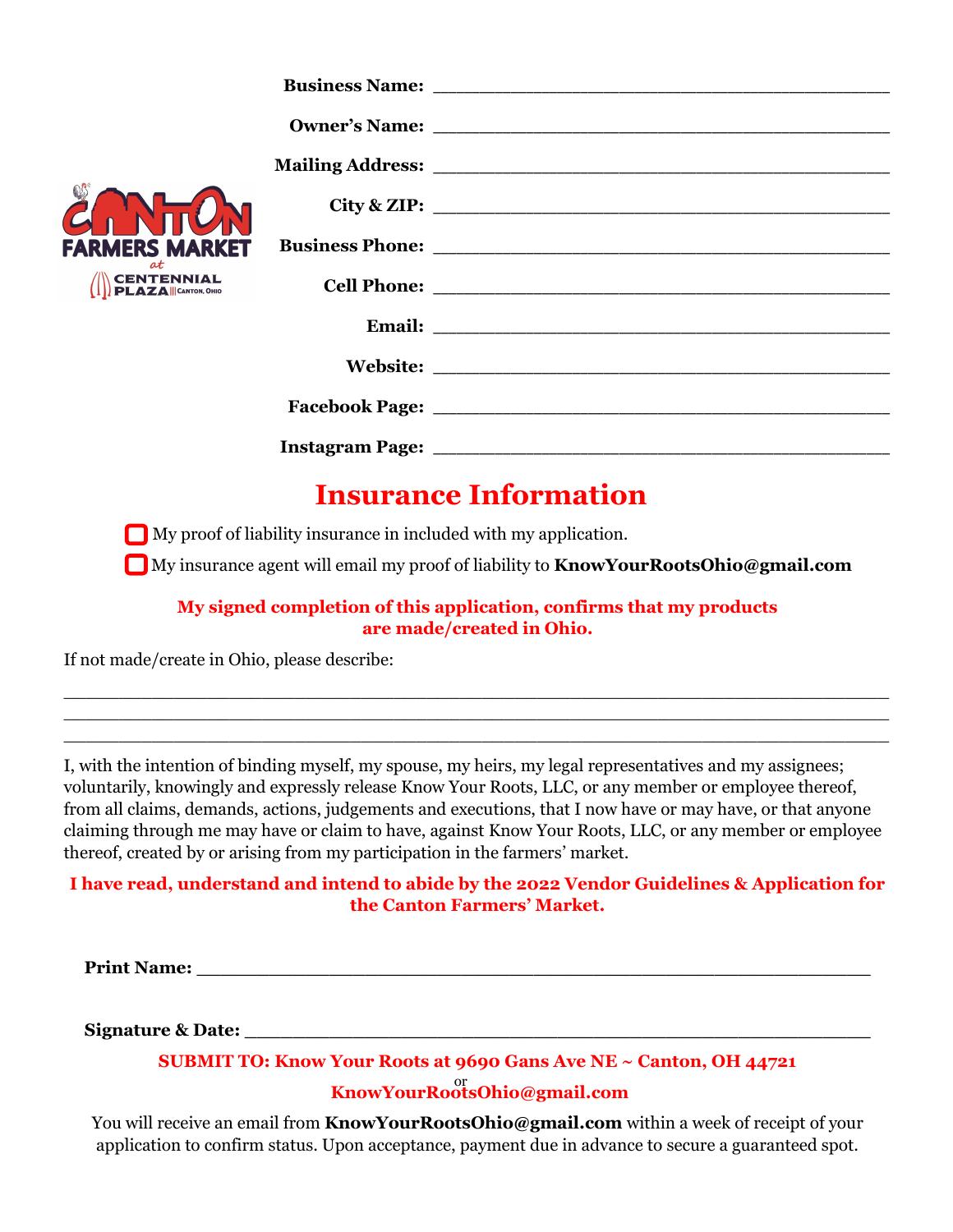| <b>FARMERS MARKET</b><br>$\alpha t$<br><b>CENTENNIAL</b><br><b>PLAZA</b> CANTON, OHIO |  |
|---------------------------------------------------------------------------------------|--|
|                                                                                       |  |
|                                                                                       |  |
|                                                                                       |  |
|                                                                                       |  |
|                                                                                       |  |
|                                                                                       |  |
|                                                                                       |  |
|                                                                                       |  |

# **Insurance Information**

**Ny** proof of liability insurance in included with my application.

My insurance agent will email my proof of liability to **KnowYourRootsOhio@gmail.com**

**My signed completion of this application, confirms that my products are made/created in Ohio.**

\_\_\_\_\_\_\_\_\_\_\_\_\_\_\_\_\_\_\_\_\_\_\_\_\_\_\_\_\_\_\_\_\_\_\_\_\_\_\_\_\_\_\_\_\_\_\_\_\_\_\_\_\_\_\_\_\_\_\_\_\_\_\_\_\_\_\_\_\_\_\_\_\_\_\_ \_\_\_\_\_\_\_\_\_\_\_\_\_\_\_\_\_\_\_\_\_\_\_\_\_\_\_\_\_\_\_\_\_\_\_\_\_\_\_\_\_\_\_\_\_\_\_\_\_\_\_\_\_\_\_\_\_\_\_\_\_\_\_\_\_\_\_\_\_\_\_\_\_\_\_ \_\_\_\_\_\_\_\_\_\_\_\_\_\_\_\_\_\_\_\_\_\_\_\_\_\_\_\_\_\_\_\_\_\_\_\_\_\_\_\_\_\_\_\_\_\_\_\_\_\_\_\_\_\_\_\_\_\_\_\_\_\_\_\_\_\_\_\_\_\_\_\_\_\_\_

If not made/create in Ohio, please describe:

I, with the intention of binding myself, my spouse, my heirs, my legal representatives and my assignees; voluntarily, knowingly and expressly release Know Your Roots, LLC, or any member or employee thereof, from all claims, demands, actions, judgements and executions, that I now have or may have, or that anyone claiming through me may have or claim to have, against Know Your Roots, LLC, or any member or employee thereof, created by or arising from my participation in the farmers' market.

#### **I have read, understand and intend to abide by the 2022 Vendor Guidelines & Application for the Canton Farmers' Market.**

**Print Name:**  $\blacksquare$ 

**Signature & Date:**  $\blacksquare$ 

### **SUBMIT TO: Know Your Roots at 9690 Gans Ave NE ~ Canton, OH 44721 KnowYourRootsOhio@gmail.com** or

You will receive an email from **KnowYourRootsOhio@gmail.com** within a week of receipt of your application to confirm status. Upon acceptance, payment due in advance to secure a guaranteed spot.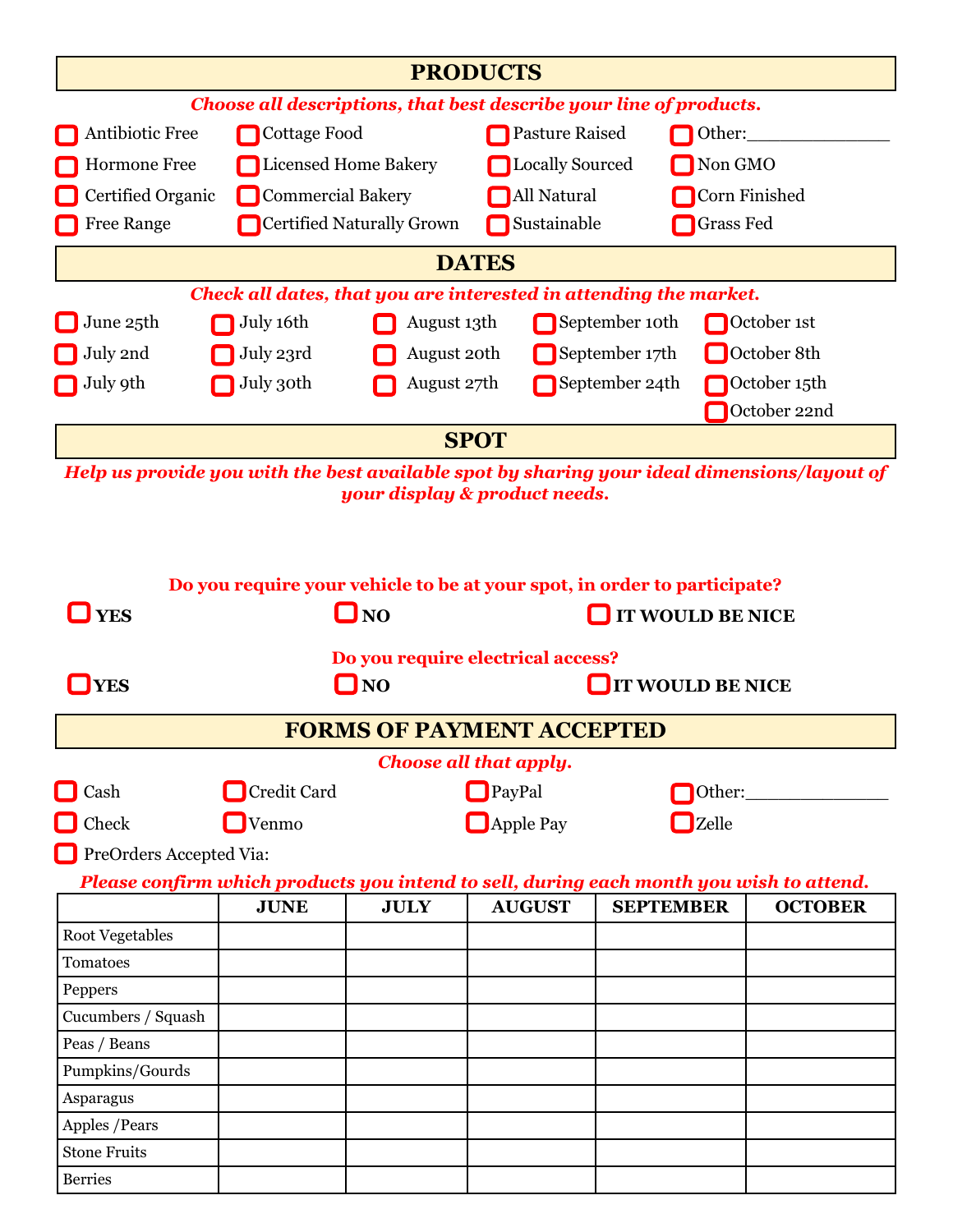| <b>PRODUCTS</b>                                                                                                              |                                                                          |                                                |                                   |                                 |                         |  |  |  |  |  |
|------------------------------------------------------------------------------------------------------------------------------|--------------------------------------------------------------------------|------------------------------------------------|-----------------------------------|---------------------------------|-------------------------|--|--|--|--|--|
| Choose all descriptions, that best describe your line of products.                                                           |                                                                          |                                                |                                   |                                 |                         |  |  |  |  |  |
| Antibiotic Free                                                                                                              | Cottage Food                                                             |                                                | <b>Pasture Raised</b>             |                                 | Other:                  |  |  |  |  |  |
| Hormone Free                                                                                                                 | Licensed Home Bakery                                                     |                                                | <b>Locally Sourced</b><br>Non GMO |                                 |                         |  |  |  |  |  |
| Certified Organic                                                                                                            | <b>Commercial Bakery</b>                                                 |                                                | All Natural<br>Corn Finished      |                                 |                         |  |  |  |  |  |
| <b>Free Range</b>                                                                                                            |                                                                          | Certified Naturally Grown                      |                                   | Sustainable<br><b>Grass Fed</b> |                         |  |  |  |  |  |
|                                                                                                                              | <b>DATES</b>                                                             |                                                |                                   |                                 |                         |  |  |  |  |  |
|                                                                                                                              | Check all dates, that you are interested in attending the market.        |                                                |                                   |                                 |                         |  |  |  |  |  |
| June 25th                                                                                                                    | July 16th                                                                | August 13th                                    |                                   | September 10th                  | October 1st             |  |  |  |  |  |
| July 2nd                                                                                                                     | July 23rd                                                                | August 20th                                    |                                   | September 17th                  | October 8th             |  |  |  |  |  |
| July 9th                                                                                                                     | July 30th                                                                | August 27th                                    |                                   | September 24th                  | October 15th            |  |  |  |  |  |
|                                                                                                                              |                                                                          |                                                |                                   |                                 | October 22nd            |  |  |  |  |  |
|                                                                                                                              |                                                                          |                                                | <b>SPOT</b>                       |                                 |                         |  |  |  |  |  |
|                                                                                                                              |                                                                          |                                                |                                   |                                 |                         |  |  |  |  |  |
| Help us provide you with the best available spot by sharing your ideal dimensions/layout of<br>your display & product needs. |                                                                          |                                                |                                   |                                 |                         |  |  |  |  |  |
|                                                                                                                              |                                                                          |                                                |                                   |                                 |                         |  |  |  |  |  |
|                                                                                                                              |                                                                          |                                                |                                   |                                 |                         |  |  |  |  |  |
|                                                                                                                              | Do you require your vehicle to be at your spot, in order to participate? |                                                |                                   |                                 |                         |  |  |  |  |  |
| <b>YES</b>                                                                                                                   |                                                                          | $\Box$ NO                                      |                                   |                                 | <b>IT WOULD BE NICE</b> |  |  |  |  |  |
|                                                                                                                              |                                                                          |                                                |                                   |                                 |                         |  |  |  |  |  |
| <b>YES</b>                                                                                                                   |                                                                          | Do you require electrical access?<br>$\Box$ NO |                                   | <b>IT WOULD BE NICE</b>         |                         |  |  |  |  |  |
|                                                                                                                              |                                                                          |                                                |                                   |                                 |                         |  |  |  |  |  |
|                                                                                                                              |                                                                          | <b>FORMS OF PAYMENT ACCEPTED</b>               |                                   |                                 |                         |  |  |  |  |  |
|                                                                                                                              |                                                                          |                                                | <b>Choose all that apply.</b>     |                                 |                         |  |  |  |  |  |
| Cash                                                                                                                         | Credit Card                                                              |                                                | $\Box$ PayPal                     |                                 | Other:                  |  |  |  |  |  |
| Check                                                                                                                        | $\Box$ Venmo                                                             |                                                | $\Box$ Apple Pay                  |                                 | $\Box$ Zelle            |  |  |  |  |  |
| PreOrders Accepted Via:                                                                                                      |                                                                          |                                                |                                   |                                 |                         |  |  |  |  |  |
| Please confirm which products you intend to sell, during each month you wish to attend.                                      |                                                                          |                                                |                                   |                                 |                         |  |  |  |  |  |
|                                                                                                                              | <b>JUNE</b>                                                              | <b>JULY</b>                                    | <b>AUGUST</b>                     | <b>SEPTEMBER</b>                | <b>OCTOBER</b>          |  |  |  |  |  |
| <b>Root Vegetables</b>                                                                                                       |                                                                          |                                                |                                   |                                 |                         |  |  |  |  |  |
| Tomatoes                                                                                                                     |                                                                          |                                                |                                   |                                 |                         |  |  |  |  |  |
| Peppers                                                                                                                      |                                                                          |                                                |                                   |                                 |                         |  |  |  |  |  |
| Cucumbers / Squash                                                                                                           |                                                                          |                                                |                                   |                                 |                         |  |  |  |  |  |
| Peas / Beans                                                                                                                 |                                                                          |                                                |                                   |                                 |                         |  |  |  |  |  |
| Pumpkins/Gourds                                                                                                              |                                                                          |                                                |                                   |                                 |                         |  |  |  |  |  |
| Asparagus                                                                                                                    |                                                                          |                                                |                                   |                                 |                         |  |  |  |  |  |
| Apples / Pears                                                                                                               |                                                                          |                                                |                                   |                                 |                         |  |  |  |  |  |
| <b>Stone Fruits</b><br><b>Berries</b>                                                                                        |                                                                          |                                                |                                   |                                 |                         |  |  |  |  |  |
|                                                                                                                              |                                                                          |                                                |                                   |                                 |                         |  |  |  |  |  |